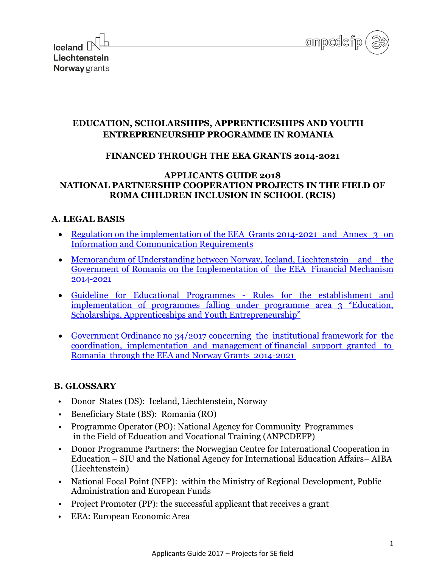



## **EDUCATION, SCHOLARSHIPS, APPRENTICESHIPS AND YOUTH ENTREPRENEURSHIP PROGRAMME IN ROMANIA**

### **FINANCED THROUGH THE EEA GRANTS 2014-2021**

#### **APPLICANTS GUIDE 2018 NATIONAL PARTNERSHIP COOPERATION PROJECTS IN THE FIELD OF ROMA CHILDREN INCLUSION IN SCHOOL (RCIS)**

### **A. LEGAL BASIS**

- Regulation on the implementation of the EEA Grants 2014-2021 and Annex 3 on [Information and Communication Requirements](https://eeagrants.org/Results-data/Documents/Legal-documents/Regulations-with-annexes/EEA-Grants-2014-2021)
- Memorandum of Understanding between Norway, Iceland, Liechtenstein and the [Government of Romania on the Implementation of the EEA Financial Mechanism](https://eeagrants.org/Results-data/Documents/Legal-documents/Memoranda-of-Understanding-with-beneficiary-countries/Romania)  [2014-2021](https://eeagrants.org/Results-data/Documents/Legal-documents/Memoranda-of-Understanding-with-beneficiary-countries/Romania)
- [Guideline for Educational Programmes Rules for the establishment and](https://eeagrants.org/Results-data/Documents/Legal-documents/Guidelines-mandates-and-strategy/EEA-and-Norway-Grants-2014-2021/Guideline-for-Educational-Programmes2)  [implementation of programmes falling under programme area 3 "Education,](https://eeagrants.org/Results-data/Documents/Legal-documents/Guidelines-mandates-and-strategy/EEA-and-Norway-Grants-2014-2021/Guideline-for-Educational-Programmes2)  [Scholarships, Apprenticeships and Youth Entrepreneurship"](https://eeagrants.org/Results-data/Documents/Legal-documents/Guidelines-mandates-and-strategy/EEA-and-Norway-Grants-2014-2021/Guideline-for-Educational-Programmes2)
- [Government Ordinance no 34/2017 concerning the institutional framework for the](http://www.eeagrants.ro/documents/10194/138438/OUG+34.2017.pdf/f5787966-41b3-4cfd-bc9b-0b001f195382)  [coordination, implementation and management of financial support granted to](http://www.eeagrants.ro/documents/10194/138438/OUG+34.2017.pdf/f5787966-41b3-4cfd-bc9b-0b001f195382)  [Romania through the EEA and Norway Grants 2014-2021](http://www.eeagrants.ro/documents/10194/138438/OUG+34.2017.pdf/f5787966-41b3-4cfd-bc9b-0b001f195382)

### **B. GLOSSARY**

- Donor States (DS): Iceland, Liechtenstein, Norway
- Beneficiary State (BS): Romania (RO)
- Programme Operator (PO): National Agency for Community Programmes in the Field of Education and Vocational Training (ANPCDEFP)
- Donor Programme Partners: the Norwegian Centre for International Cooperation in Education – SIU and the National Agency for International Education Affairs– AIBA (Liechtenstein)
- National Focal Point (NFP): within the [Ministry of Regional Development, Public](http://www.mdrap.gov.ro/)  [Administration and European Funds](http://www.mdrap.gov.ro/)
- Project Promoter (PP): the successful applicant that receives a grant
- EEA: European Economic Area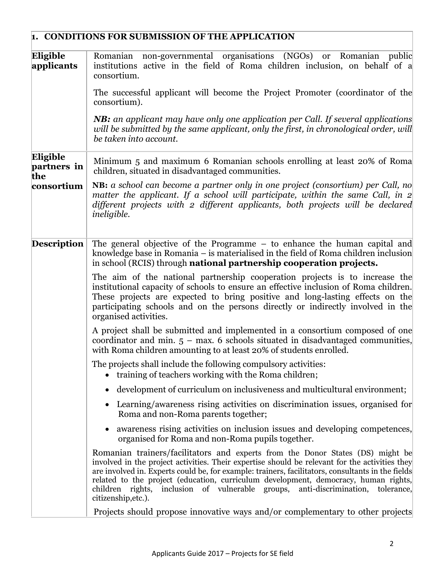|                                | 1. CONDITIONS FOR SUBMISSION OF THE APPLICATION                                                                                                                                                                                                                                                                                                                                                                                                                                         |
|--------------------------------|-----------------------------------------------------------------------------------------------------------------------------------------------------------------------------------------------------------------------------------------------------------------------------------------------------------------------------------------------------------------------------------------------------------------------------------------------------------------------------------------|
| Eligible<br>applicants         | non-governmental organisations (NGOs)<br>Romanian<br><b>or</b><br>Romanian<br>public<br>institutions active in the field of Roma children inclusion, on behalf of a<br>consortium.                                                                                                                                                                                                                                                                                                      |
|                                | The successful applicant will become the Project Promoter (coordinator of the<br>consortium).                                                                                                                                                                                                                                                                                                                                                                                           |
|                                | NB: an applicant may have only one application per Call. If several applications<br>will be submitted by the same applicant, only the first, in chronological order, will<br>be taken into account.                                                                                                                                                                                                                                                                                     |
| Eligible<br>partners in<br>the | Minimum 5 and maximum 6 Romanian schools enrolling at least 20% of Roma<br>children, situated in disadvantaged communities.                                                                                                                                                                                                                                                                                                                                                             |
| consortium                     | NB: a school can become a partner only in one project (consortium) per Call, no<br>matter the applicant. If a school will participate, within the same Call, in $2$<br>different projects with 2 different applicants, both projects will be declared<br><i>ineligible.</i>                                                                                                                                                                                                             |
| <b>Description</b>             | The general objective of the Programme $-$ to enhance the human capital and<br>knowledge base in Romania – is materialised in the field of Roma children inclusion<br>in school (RCIS) through <b>national partnership cooperation projects.</b>                                                                                                                                                                                                                                        |
|                                | The aim of the national partnership cooperation projects is to increase the<br>institutional capacity of schools to ensure an effective inclusion of Roma children.<br>These projects are expected to bring positive and long-lasting effects on the<br>participating schools and on the persons directly or indirectly involved in the<br>organised activities.                                                                                                                        |
|                                | A project shall be submitted and implemented in a consortium composed of one<br>coordinator and min. $5$ – max. 6 schools situated in disadvantaged communities,<br>with Roma children amounting to at least 20% of students enrolled.                                                                                                                                                                                                                                                  |
|                                | The projects shall include the following compulsory activities:<br>• training of teachers working with the Roma children;                                                                                                                                                                                                                                                                                                                                                               |
|                                | • development of curriculum on inclusiveness and multicultural environment;                                                                                                                                                                                                                                                                                                                                                                                                             |
|                                | Learning/awareness rising activities on discrimination issues, organised for<br>Roma and non-Roma parents together;                                                                                                                                                                                                                                                                                                                                                                     |
|                                | awareness rising activities on inclusion issues and developing competences,<br>organised for Roma and non-Roma pupils together.                                                                                                                                                                                                                                                                                                                                                         |
|                                | Romanian trainers/facilitators and experts from the Donor States (DS) might be<br>involved in the project activities. Their expertise should be relevant for the activities they<br>are involved in. Experts could be, for example: trainers, facilitators, consultants in the fields<br>related to the project (education, curriculum development, democracy, human rights,<br>children rights, inclusion of vulnerable groups, anti-discrimination, tolerance,<br>citizenship, etc.). |
|                                | Projects should propose innovative ways and/or complementary to other projects                                                                                                                                                                                                                                                                                                                                                                                                          |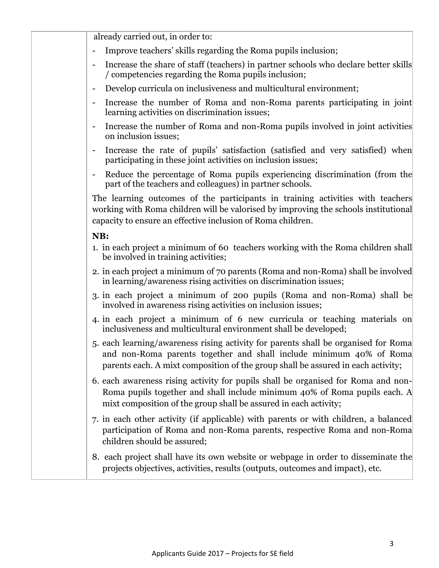| already carried out, in order to:                                                                                                                                                                                                             |
|-----------------------------------------------------------------------------------------------------------------------------------------------------------------------------------------------------------------------------------------------|
| Improve teachers' skills regarding the Roma pupils inclusion;                                                                                                                                                                                 |
| Increase the share of staff (teachers) in partner schools who declare better skills<br>$\qquad \qquad \blacksquare$<br>/ competencies regarding the Roma pupils inclusion;                                                                    |
| Develop curricula on inclusiveness and multicultural environment;<br>$\blacksquare$                                                                                                                                                           |
| Increase the number of Roma and non-Roma parents participating in joint<br>$\qquad \qquad \blacksquare$<br>learning activities on discrimination issues;                                                                                      |
| Increase the number of Roma and non-Roma pupils involved in joint activities<br>$\qquad \qquad \blacksquare$<br>on inclusion issues;                                                                                                          |
| Increase the rate of pupils' satisfaction (satisfied and very satisfied) when<br>participating in these joint activities on inclusion issues;                                                                                                 |
| Reduce the percentage of Roma pupils experiencing discrimination (from the<br>part of the teachers and colleagues) in partner schools.                                                                                                        |
| The learning outcomes of the participants in training activities with teachers<br>working with Roma children will be valorised by improving the schools institutional<br>capacity to ensure an effective inclusion of Roma children.          |
| NB:                                                                                                                                                                                                                                           |
| 1. in each project a minimum of 60 teachers working with the Roma children shall<br>be involved in training activities;                                                                                                                       |
| 2. in each project a minimum of 70 parents (Roma and non-Roma) shall be involved<br>in learning/awareness rising activities on discrimination issues;                                                                                         |
| 3. in each project a minimum of 200 pupils (Roma and non-Roma) shall be<br>involved in awareness rising activities on inclusion issues;                                                                                                       |
| 4. in each project a minimum of 6 new curricula or teaching materials on<br>inclusiveness and multicultural environment shall be developed;                                                                                                   |
| 5. each learning/awareness rising activity for parents shall be organised for Roma<br>and non-Roma parents together and shall include minimum 40% of Roma<br>parents each. A mixt composition of the group shall be assured in each activity; |
| 6. each awareness rising activity for pupils shall be organised for Roma and non-<br>Roma pupils together and shall include minimum 40% of Roma pupils each. A<br>mixt composition of the group shall be assured in each activity;            |
| 7. in each other activity (if applicable) with parents or with children, a balanced<br>participation of Roma and non-Roma parents, respective Roma and non-Roma<br>children should be assured;                                                |
| 8. each project shall have its own website or webpage in order to disseminate the<br>projects objectives, activities, results (outputs, outcomes and impact), etc.                                                                            |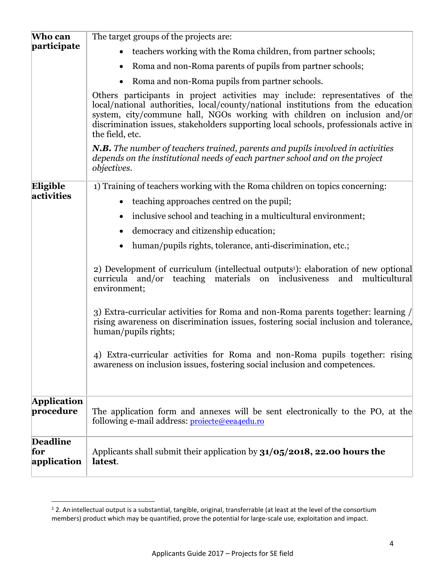| Who can                                                                                                                                                                                                                                                                                                                                                     | The target groups of the projects are:                                                                                                                                                               |  |  |  |  |  |
|-------------------------------------------------------------------------------------------------------------------------------------------------------------------------------------------------------------------------------------------------------------------------------------------------------------------------------------------------------------|------------------------------------------------------------------------------------------------------------------------------------------------------------------------------------------------------|--|--|--|--|--|
| participate                                                                                                                                                                                                                                                                                                                                                 | teachers working with the Roma children, from partner schools;                                                                                                                                       |  |  |  |  |  |
|                                                                                                                                                                                                                                                                                                                                                             | Roma and non-Roma parents of pupils from partner schools;                                                                                                                                            |  |  |  |  |  |
|                                                                                                                                                                                                                                                                                                                                                             | Roma and non-Roma pupils from partner schools.                                                                                                                                                       |  |  |  |  |  |
| Others participants in project activities may include: representatives of the<br>local/national authorities, local/county/national institutions from the education<br>system, city/commune hall, NGOs working with children on inclusion and/or<br>discrimination issues, stakeholders supporting local schools, professionals active in<br>the field, etc. |                                                                                                                                                                                                      |  |  |  |  |  |
|                                                                                                                                                                                                                                                                                                                                                             | N.B. The number of teachers trained, parents and pupils involved in activities<br>depends on the institutional needs of each partner school and on the project<br><i>objectives.</i>                 |  |  |  |  |  |
| Eligible                                                                                                                                                                                                                                                                                                                                                    | 1) Training of teachers working with the Roma children on topics concerning:                                                                                                                         |  |  |  |  |  |
| activities                                                                                                                                                                                                                                                                                                                                                  | teaching approaches centred on the pupil;                                                                                                                                                            |  |  |  |  |  |
|                                                                                                                                                                                                                                                                                                                                                             | inclusive school and teaching in a multicultural environment;<br>$\bullet$                                                                                                                           |  |  |  |  |  |
|                                                                                                                                                                                                                                                                                                                                                             | democracy and citizenship education;                                                                                                                                                                 |  |  |  |  |  |
|                                                                                                                                                                                                                                                                                                                                                             | human/pupils rights, tolerance, anti-discrimination, etc.;                                                                                                                                           |  |  |  |  |  |
|                                                                                                                                                                                                                                                                                                                                                             | 2) Development of curriculum (intellectual outputs <sup>1</sup> ): elaboration of new optional<br>multicultural<br>teaching<br>materials on inclusiveness<br>and<br>curricula and/or<br>environment; |  |  |  |  |  |
|                                                                                                                                                                                                                                                                                                                                                             | 3) Extra-curricular activities for Roma and non-Roma parents together: learning /<br>rising awareness on discrimination issues, fostering social inclusion and tolerance,<br>human/pupils rights;    |  |  |  |  |  |
|                                                                                                                                                                                                                                                                                                                                                             | 4) Extra-curricular activities for Roma and non-Roma pupils together: rising<br>awareness on inclusion issues, fostering social inclusion and competences.                                           |  |  |  |  |  |
| <b>Application</b><br>procedure                                                                                                                                                                                                                                                                                                                             | The application form and annexes will be sent electronically to the PO, at the                                                                                                                       |  |  |  |  |  |
|                                                                                                                                                                                                                                                                                                                                                             | following e-mail address: projecte@eea4edu.ro                                                                                                                                                        |  |  |  |  |  |
| <b>Deadline</b><br>for<br>application                                                                                                                                                                                                                                                                                                                       | Applicants shall submit their application by $31/05/2018$ , 22.00 hours the<br>latest.                                                                                                               |  |  |  |  |  |

l

 $1$  2. An intellectual output is a substantial, tangible, original, transferrable (at least at the level of the consortium members) product which may be quantified, prove the potential for large-scale use, exploitation and impact.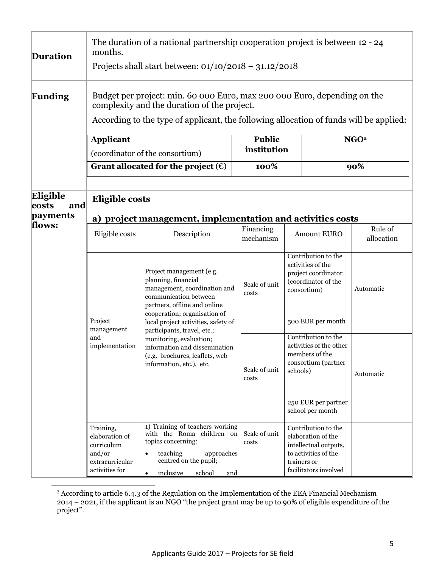| <b>Duration</b>                                                                                                             | The duration of a national partnership cooperation project is between 12 - 24<br>months.<br>Projects shall start between: $01/10/2018 - 31.12/2018$                                                                                                                                                                                                                                                                        |                                                                                                                                                                                               |                              |                                                                                                                                    |                                                                                                                            |                  |  |
|-----------------------------------------------------------------------------------------------------------------------------|----------------------------------------------------------------------------------------------------------------------------------------------------------------------------------------------------------------------------------------------------------------------------------------------------------------------------------------------------------------------------------------------------------------------------|-----------------------------------------------------------------------------------------------------------------------------------------------------------------------------------------------|------------------------------|------------------------------------------------------------------------------------------------------------------------------------|----------------------------------------------------------------------------------------------------------------------------|------------------|--|
| <b>Funding</b>                                                                                                              | Budget per project: min. 60 000 Euro, max 200 000 Euro, depending on the<br>complexity and the duration of the project.<br>According to the type of applicant, the following allocation of funds will be applied:                                                                                                                                                                                                          |                                                                                                                                                                                               |                              |                                                                                                                                    |                                                                                                                            |                  |  |
|                                                                                                                             | <b>Applicant</b>                                                                                                                                                                                                                                                                                                                                                                                                           | (coordinator of the consortium)                                                                                                                                                               | <b>Public</b><br>institution |                                                                                                                                    |                                                                                                                            | NGO <sup>2</sup> |  |
|                                                                                                                             |                                                                                                                                                                                                                                                                                                                                                                                                                            | Grant allocated for the project $(\epsilon)$                                                                                                                                                  | 100%                         |                                                                                                                                    |                                                                                                                            | 90%              |  |
| Eligible<br><b>Eligible costs</b><br>costs<br>and<br>payments<br>a) project management, implementation and activities costs |                                                                                                                                                                                                                                                                                                                                                                                                                            |                                                                                                                                                                                               |                              |                                                                                                                                    |                                                                                                                            |                  |  |
| flows:                                                                                                                      | Eligible costs                                                                                                                                                                                                                                                                                                                                                                                                             | Description                                                                                                                                                                                   | Financing<br>mechanism       |                                                                                                                                    | Rule of<br><b>Amount EURO</b><br>allocation                                                                                |                  |  |
|                                                                                                                             | Project management (e.g.<br>planning, financial<br>management, coordination and<br>communication between<br>partners, offline and online<br>cooperation; organisation of<br>Project<br>local project activities, safety of<br>management<br>participants, travel, etc.;<br>and<br>monitoring, evaluation;<br>implementation<br>information and dissemination<br>(e.g. brochures, leaflets, web<br>information, etc.), etc. |                                                                                                                                                                                               | Scale of unit<br>costs       |                                                                                                                                    | Contribution to the<br>activities of the<br>project coordinator<br>(coordinator of the<br>consortium)<br>500 EUR per month | Automatic        |  |
|                                                                                                                             |                                                                                                                                                                                                                                                                                                                                                                                                                            | Scale of unit<br>costs                                                                                                                                                                        | schools)                     | Contribution to the<br>activities of the other<br>members of the<br>consortium (partner<br>250 EUR per partner<br>school per month | Automatic                                                                                                                  |                  |  |
|                                                                                                                             | Training,<br>elaboration of<br>curriculum<br>and/or<br>extracurricular<br>activities for                                                                                                                                                                                                                                                                                                                                   | 1) Training of teachers working<br>with the Roma children on<br>topics concerning:<br>teaching<br>approaches<br>$\bullet$<br>centred on the pupil;<br>inclusive<br>school<br>and<br>$\bullet$ | Scale of unit<br>costs       | trainers or                                                                                                                        | Contribution to the<br>elaboration of the<br>intellectual outputs,<br>to activities of the<br>facilitators involved        |                  |  |

 $2$  According to article 6.4.3 of the Regulation on the Implementation of the EEA Financial Mechanism 2014 – 2021, if the applicant is an NGO "the project grant may be up to 90% of eligible expenditure of the project".

 $\overline{a}$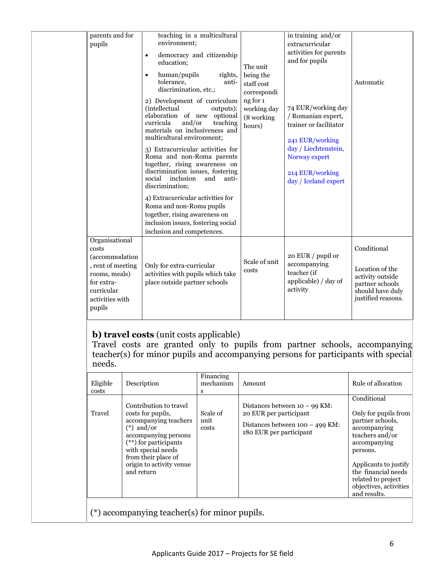| parents and for<br>pupils                                                                                                                        | teaching in a multicultural<br>environment;<br>democracy and citizenship<br>$\bullet$<br>education;<br>human/pupils<br>rights,<br>$\bullet$<br>tolerance,<br>anti-<br>discrimination, etc.;<br>2) Development of curriculum<br>(intellectual<br>outputs):<br>elaboration of new optional<br>curricula<br>and/or<br>teaching<br>materials on inclusiveness and<br>multicultural environment;<br>3) Extracurricular activities for<br>Roma and non-Roma parents<br>together, rising awareness on<br>discrimination issues, fostering<br>inclusion<br>social<br>and<br>anti-<br>discrimination;<br>4) Extracurricular activities for<br>Roma and non-Roma pupils<br>together, rising awareness on<br>inclusion issues, fostering social<br>inclusion and competences. | The unit<br>being the<br>staff cost<br>correspondi<br>ng for 1<br>working day<br>(8 working<br>hours) | in training and/or<br>extracurricular<br>activities for parents<br>and for pupils<br>74 EUR/working day<br>/ Romanian expert,<br>trainer or facilitator<br>241 EUR/working<br>day / Liechtenstein,<br>Norway expert<br>214 EUR/working<br>day / Iceland expert | Automatic                                                                                                       |
|--------------------------------------------------------------------------------------------------------------------------------------------------|--------------------------------------------------------------------------------------------------------------------------------------------------------------------------------------------------------------------------------------------------------------------------------------------------------------------------------------------------------------------------------------------------------------------------------------------------------------------------------------------------------------------------------------------------------------------------------------------------------------------------------------------------------------------------------------------------------------------------------------------------------------------|-------------------------------------------------------------------------------------------------------|----------------------------------------------------------------------------------------------------------------------------------------------------------------------------------------------------------------------------------------------------------------|-----------------------------------------------------------------------------------------------------------------|
| Organisational<br>costs<br><i>(accommodation)</i><br>, rent of meeting<br>rooms, meals)<br>for extra-<br>curricular<br>activities with<br>pupils | Only for extra-curricular<br>activities with pupils which take<br>place outside partner schools                                                                                                                                                                                                                                                                                                                                                                                                                                                                                                                                                                                                                                                                    | Scale of unit<br>costs                                                                                | 20 EUR / pupil or<br>accompanying<br>teacher (if<br>applicable) / day of<br>activity                                                                                                                                                                           | Conditional<br>Location of the<br>activity outside<br>partner schools<br>should have duly<br>justified reasons. |

# **b) travel costs** (unit costs applicable)

Travel costs are granted only to pupils from partner schools, accompanying teacher(s) for minor pupils and accompanying persons for participants with special needs.

| Eligible<br>costs                               | Description                                                                                                                                                                                                                    | Financing<br>mechanism<br>S | Amount                                                                                                                    | Rule of allocation                                                                                                                                                                                                                     |
|-------------------------------------------------|--------------------------------------------------------------------------------------------------------------------------------------------------------------------------------------------------------------------------------|-----------------------------|---------------------------------------------------------------------------------------------------------------------------|----------------------------------------------------------------------------------------------------------------------------------------------------------------------------------------------------------------------------------------|
| Travel                                          | Contribution to travel<br>costs for pupils,<br>accompanying teachers<br>$(*)$ and/or<br>accompanying persons<br>$(**)$ for participants<br>with special needs<br>from their place of<br>origin to activity venue<br>and return | Scale of<br>unit<br>costs   | Distances between $10 - 99$ KM:<br>20 EUR per participant<br>Distances between $100 - 499$ KM:<br>180 EUR per participant | Conditional<br>Only for pupils from<br>partner schools,<br>accompanying<br>teachers and/or<br>accompanying<br>persons.<br>Applicants to justify<br>the financial needs<br>related to project<br>objectives, activities<br>and results. |
| $(*)$ accompanying teacher(s) for minor pupils. |                                                                                                                                                                                                                                |                             |                                                                                                                           |                                                                                                                                                                                                                                        |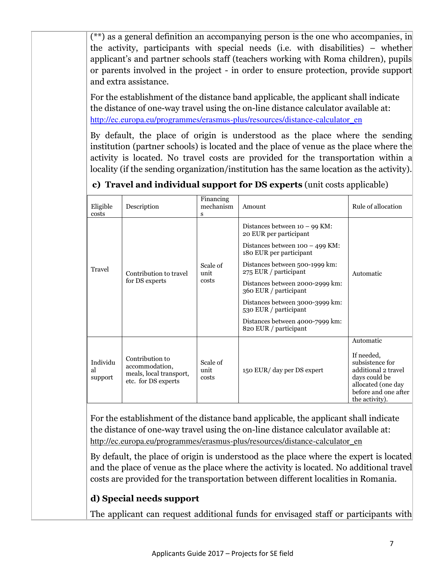(\*\*) as a general definition an accompanying person is the one who accompanies, in the activity, participants with special needs (i.e. with disabilities) – whether applicant's and partner schools staff (teachers working with Roma children), pupils or parents involved in the project - in order to ensure protection, provide support and extra assistance.

For the establishment of the distance band applicable, the applicant shall indicate the distance of one-way travel using the on-line distance calculator available at: [http://ec.europa.eu/programmes/erasmus-plus/resources/distance-calculator\\_en](http://ec.europa.eu/programmes/erasmus-plus/resources/distance-calculator_en)

By default, the place of origin is understood as the place where the sending institution (partner schools) is located and the place of venue as the place where the activity is located. No travel costs are provided for the transportation within a locality (if the sending organization/institution has the same location as the activity).

| Eligible<br>costs         | Description                                                                         | Financing<br>mechanism<br>s | Amount                                                       | Rule of allocation                                                                                                                    |  |
|---------------------------|-------------------------------------------------------------------------------------|-----------------------------|--------------------------------------------------------------|---------------------------------------------------------------------------------------------------------------------------------------|--|
|                           | Contribution to travel<br>for DS experts                                            | Scale of<br>unit<br>costs   | Distances between $10 - 99$ KM:<br>20 EUR per participant    |                                                                                                                                       |  |
| Travel                    |                                                                                     |                             | Distances between $100 - 499$ KM:<br>180 EUR per participant |                                                                                                                                       |  |
|                           |                                                                                     |                             | Distances between 500-1999 km:<br>275 EUR / participant      | Automatic                                                                                                                             |  |
|                           |                                                                                     |                             | Distances between 2000-2999 km:<br>360 EUR / participant     |                                                                                                                                       |  |
|                           |                                                                                     |                             | Distances between 3000-3999 km:<br>530 EUR / participant     |                                                                                                                                       |  |
|                           |                                                                                     |                             | Distances between 4000-7999 km:<br>820 EUR / participant     |                                                                                                                                       |  |
|                           |                                                                                     |                             |                                                              | Automatic                                                                                                                             |  |
| Individu<br>al<br>support | Contribution to<br>accommodation,<br>meals, local transport,<br>etc. for DS experts | Scale of<br>unit<br>costs   | 150 EUR/ day per DS expert                                   | If needed,<br>subsistence for<br>additional 2 travel<br>days could be<br>allocated (one day<br>before and one after<br>the activity). |  |

# **c) Travel and individual support for DS experts** (unit costs applicable)

For the establishment of the distance band applicable, the applicant shall indicate the distance of one-way travel using the on-line distance calculator available at: [http://ec.europa.eu/programmes/erasmus-plus/resources/distance-calculator\\_en](http://ec.europa.eu/programmes/erasmus-plus/resources/distance-calculator_en) 

By default, the place of origin is understood as the place where the expert is located and the place of venue as the place where the activity is located. No additional travel costs are provided for the transportation between different localities in Romania.

# **d) Special needs support**

The applicant can request additional funds for envisaged staff or participants with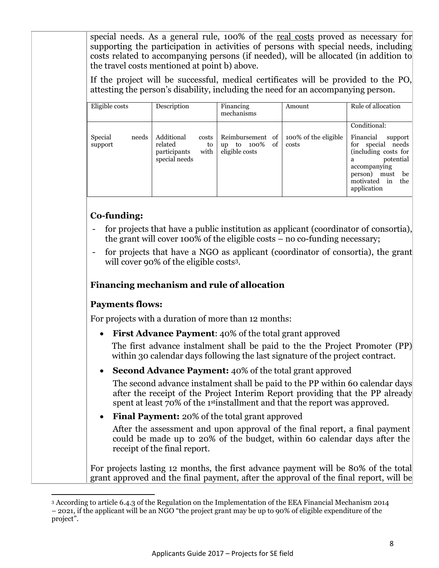special needs. As a general rule, 100% of the real costs proved as necessary for supporting the participation in activities of persons with special needs, including costs related to accompanying persons (if needed), will be allocated (in addition to the travel costs mentioned at point b) above.

If the project will be successful, medical certificates will be provided to the PO, attesting the person's disability, including the need for an accompanying person.

| Eligible costs              | Description                                                                   | Financing<br>mechanisms                                                    | Amount                        | Rule of allocation                                                                                                        |
|-----------------------------|-------------------------------------------------------------------------------|----------------------------------------------------------------------------|-------------------------------|---------------------------------------------------------------------------------------------------------------------------|
| Special<br>needs<br>support | Additional<br>costs<br>related<br>to<br>with<br>participants<br>special needs | Reimbursement<br>of<br><sub>of</sub><br>100%<br>to<br>up<br>eligible costs | 100% of the eligible<br>costs | Conditional:<br>Financial<br>support<br>needs<br>special<br>for<br>(including costs for<br>potential<br>a<br>accompanying |
|                             |                                                                               |                                                                            |                               | person)<br>be<br>must<br>$\sin$<br>motivated<br>the<br>application                                                        |

## **Co-funding:**

- for projects that have a public institution as applicant (coordinator of consortia), the grant will cover 100% of the eligible costs – no co-funding necessary;
- for projects that have a NGO as applicant (coordinator of consortia), the grant will cover 90% of the eligible costs3.

## **Financing mechanism and rule of allocation**

### **Payments flows:**

l

For projects with a duration of more than 12 months:

• **First Advance Payment**: 40% of the total grant approved

The first advance instalment shall be paid to the the Project Promoter (PP) within 30 calendar days following the last signature of the project contract.

• **Second Advance Payment:** 40% of the total grant approved

The second advance instalment shall be paid to the PP within 60 calendar days after the receipt of the Project Interim Report providing that the PP already spent at least 70% of the 1<sup>st</sup>installment and that the report was approved.

• **Final Payment:** 20% of the total grant approved

After the assessment and upon approval of the final report, a final payment could be made up to 20% of the budget, within 60 calendar days after the receipt of the final report.

For projects lasting 12 months, the first advance payment will be 80% of the total grant approved and the final payment, after the approval of the final report, will be

<sup>3</sup> According to article 6.4.3 of the Regulation on the Implementation of the EEA Financial Mechanism 2014 – 2021, if the applicant will be an NGO "the project grant may be up to 90% of eligible expenditure of the project".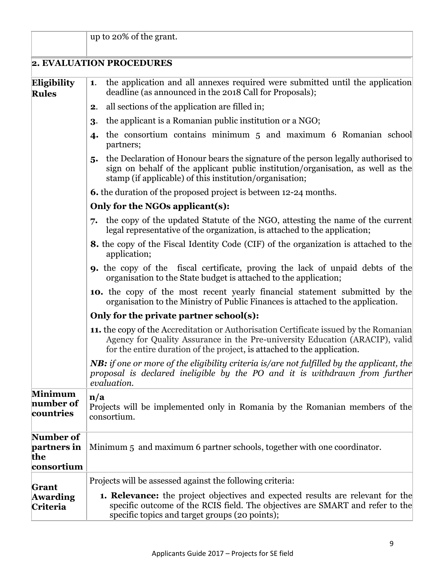|                                               | up to 20% of the grant.                                                                                                                                                                                                                                 |  |  |  |  |
|-----------------------------------------------|---------------------------------------------------------------------------------------------------------------------------------------------------------------------------------------------------------------------------------------------------------|--|--|--|--|
|                                               | 2. EVALUATION PROCEDURES                                                                                                                                                                                                                                |  |  |  |  |
| Eligibility<br><b>Rules</b>                   | the application and all annexes required were submitted until the application<br>1.<br>deadline (as announced in the 2018 Call for Proposals);                                                                                                          |  |  |  |  |
|                                               | all sections of the application are filled in;<br>2.                                                                                                                                                                                                    |  |  |  |  |
|                                               | the applicant is a Romanian public institution or a NGO;<br>3.                                                                                                                                                                                          |  |  |  |  |
|                                               | the consortium contains minimum 5 and maximum 6 Romanian school<br>4.<br>partners;                                                                                                                                                                      |  |  |  |  |
|                                               | the Declaration of Honour bears the signature of the person legally authorised to<br>5.<br>sign on behalf of the applicant public institution/organisation, as well as the<br>stamp (if applicable) of this institution/organisation;                   |  |  |  |  |
|                                               | <b>6.</b> the duration of the proposed project is between 12-24 months.                                                                                                                                                                                 |  |  |  |  |
|                                               | Only for the NGOs applicant(s):                                                                                                                                                                                                                         |  |  |  |  |
|                                               | the copy of the updated Statute of the NGO, attesting the name of the current<br>7.<br>legal representative of the organization, is attached to the application;                                                                                        |  |  |  |  |
|                                               | 8. the copy of the Fiscal Identity Code (CIF) of the organization is attached to the<br>application;                                                                                                                                                    |  |  |  |  |
|                                               | <b>9.</b> the copy of the fiscal certificate, proving the lack of unpaid debts of the<br>organisation to the State budget is attached to the application;                                                                                               |  |  |  |  |
|                                               | <b>10.</b> the copy of the most recent yearly financial statement submitted by the<br>organisation to the Ministry of Public Finances is attached to the application.                                                                                   |  |  |  |  |
|                                               | Only for the private partner school(s):                                                                                                                                                                                                                 |  |  |  |  |
|                                               | <b>11.</b> the copy of the Accreditation or Authorisation Certificate issued by the Romanian<br>Agency for Quality Assurance in the Pre-university Education (ARACIP), valid<br>for the entire duration of the project, is attached to the application. |  |  |  |  |
|                                               | <b>NB:</b> if one or more of the eligibility criteria is/are not fulfilled by the applicant, the<br>proposal is declared ineligible by the PO and it is withdrawn from further<br>evaluation.                                                           |  |  |  |  |
| <b>Minimum</b><br>number of<br>countries      | $\mathbf{n}/\mathbf{a}$<br>Projects will be implemented only in Romania by the Romanian members of the<br>consortium.                                                                                                                                   |  |  |  |  |
| Number of<br>partners in<br>the<br>consortium | Minimum 5 and maximum 6 partner schools, together with one coordinator.                                                                                                                                                                                 |  |  |  |  |
|                                               | Projects will be assessed against the following criteria:                                                                                                                                                                                               |  |  |  |  |
| Grant<br><b>Awarding</b><br>Criteria          | <b>1. Relevance:</b> the project objectives and expected results are relevant for the<br>specific outcome of the RCIS field. The objectives are SMART and refer to the<br>specific topics and target groups (20 points);                                |  |  |  |  |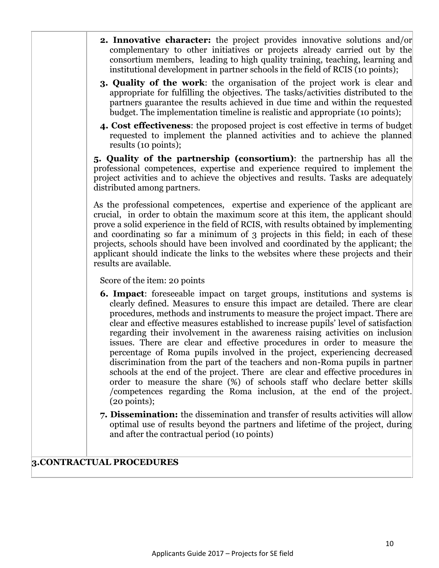- **2. Innovative character:** the project provides innovative solutions and/or complementary to other initiatives or projects already carried out by the consortium members, leading to high quality training, teaching, learning and institutional development in partner schools in the field of RCIS (10 points);
- **3. Quality of the work**: the organisation of the project work is clear and appropriate for fulfilling the objectives. The tasks/activities distributed to the partners guarantee the results achieved in due time and within the requested budget. The implementation timeline is realistic and appropriate (10 points);
- **4. Cost effectiveness**: the proposed project is cost effective in terms of budget requested to implement the planned activities and to achieve the planned results (10 points);

**5. Quality of the partnership (consortium)**: the partnership has all the professional competences, expertise and experience required to implement the project activities and to achieve the objectives and results. Tasks are adequately distributed among partners.

As the professional competences, expertise and experience of the applicant are crucial, in order to obtain the maximum score at this item, the applicant should prove a solid experience in the field of RCIS, with results obtained by implementing and coordinating so far a minimum of 3 projects in this field; in each of these projects, schools should have been involved and coordinated by the applicant; the applicant should indicate the links to the websites where these projects and their results are available.

Score of the item: 20 points

- **6. Impact**: foreseeable impact on target groups, institutions and systems is clearly defined. Measures to ensure this impact are detailed. There are clear procedures, methods and instruments to measure the project impact. There are clear and effective measures established to increase pupils' level of satisfaction regarding their involvement in the awareness raising activities on inclusion issues. There are clear and effective procedures in order to measure the percentage of Roma pupils involved in the project, experiencing decreased discrimination from the part of the teachers and non-Roma pupils in partner schools at the end of the project. There are clear and effective procedures in order to measure the share (%) of schools staff who declare better skills /competences regarding the Roma inclusion, at the end of the project. (20 points);
- **7. Dissemination:** the dissemination and transfer of results activities will allow optimal use of results beyond the partners and lifetime of the project, during and after the contractual period (10 points)

### **3.CONTRACTUAL PROCEDURES**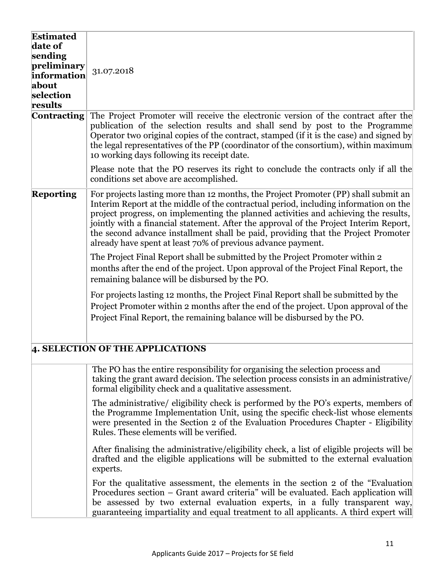| <b>Estimated</b>                                                                  |                                                                                                                                                                                                                                                                                                                                                                                                                                                                                                                  |
|-----------------------------------------------------------------------------------|------------------------------------------------------------------------------------------------------------------------------------------------------------------------------------------------------------------------------------------------------------------------------------------------------------------------------------------------------------------------------------------------------------------------------------------------------------------------------------------------------------------|
| date of<br>sending<br>preliminary<br>information<br>about<br>selection<br>results | 31.07.2018                                                                                                                                                                                                                                                                                                                                                                                                                                                                                                       |
| <b>Contracting</b>                                                                | The Project Promoter will receive the electronic version of the contract after the<br>publication of the selection results and shall send by post to the Programme<br>Operator two original copies of the contract, stamped (if it is the case) and signed by<br>the legal representatives of the PP (coordinator of the consortium), within maximum<br>10 working days following its receipt date.                                                                                                              |
|                                                                                   | Please note that the PO reserves its right to conclude the contracts only if all the<br>conditions set above are accomplished.                                                                                                                                                                                                                                                                                                                                                                                   |
| <b>Reporting</b>                                                                  | For projects lasting more than 12 months, the Project Promoter (PP) shall submit an<br>Interim Report at the middle of the contractual period, including information on the<br>project progress, on implementing the planned activities and achieving the results,<br>jointly with a financial statement. After the approval of the Project Interim Report,<br>the second advance installment shall be paid, providing that the Project Promoter<br>already have spent at least 70% of previous advance payment. |
|                                                                                   | The Project Final Report shall be submitted by the Project Promoter within 2<br>months after the end of the project. Upon approval of the Project Final Report, the<br>remaining balance will be disbursed by the PO.                                                                                                                                                                                                                                                                                            |
|                                                                                   | For projects lasting 12 months, the Project Final Report shall be submitted by the<br>Project Promoter within 2 months after the end of the project. Upon approval of the<br>Project Final Report, the remaining balance will be disbursed by the PO.                                                                                                                                                                                                                                                            |
|                                                                                   | 4. SELECTION OF THE APPLICATIONS                                                                                                                                                                                                                                                                                                                                                                                                                                                                                 |
|                                                                                   | The PO has the entire responsibility for organising the selection process and<br>taking the grant award decision. The selection process consists in an administrative/<br>formal eligibility check and a qualitative assessment.                                                                                                                                                                                                                                                                                 |
|                                                                                   | The administrative/ eligibility check is performed by the PO's experts, members of<br>the Programme Implementation Unit, using the specific check-list whose elements<br>were presented in the Section 2 of the Evaluation Procedures Chapter - Eligibility<br>Rules. These elements will be verified.                                                                                                                                                                                                           |
|                                                                                   | After finalising the administrative/eligibility check, a list of eligible projects will be<br>drafted and the eligible applications will be submitted to the external evaluation<br>experts.                                                                                                                                                                                                                                                                                                                     |
|                                                                                   | For the qualitative assessment, the elements in the section 2 of the "Evaluation"<br>Procedures section – Grant award criteria" will be evaluated. Each application will<br>be assessed by two external evaluation experts, in a fully transparent way,<br>guaranteeing impartiality and equal treatment to all applicants. A third expert will                                                                                                                                                                  |